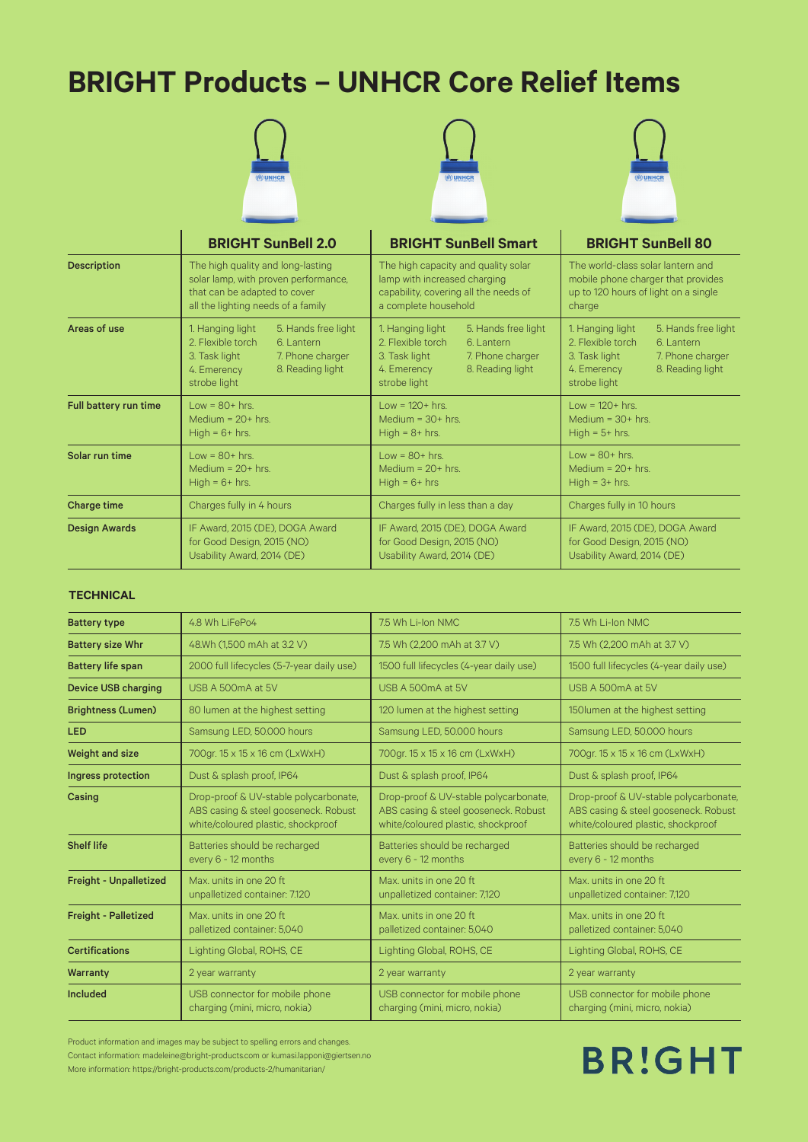## **BRIGHT Products – UNHCR Core Relief Items**

|                       | (m) UNHCR                            | (m) UNHCR                             | (m) UNHCR                            |
|-----------------------|--------------------------------------|---------------------------------------|--------------------------------------|
|                       | <b>BRIGHT SunBell 2.0</b>            | <b>BRIGHT SunBell Smart</b>           | <b>BRIGHT SunBell 80</b>             |
| <b>Description</b>    | The high quality and long-lasting    | The high capacity and quality solar   | The world-class solar lantern and    |
|                       | solar lamp, with proven performance, | lamp with increased charging          | mobile phone charger that provides   |
|                       | that can be adapted to cover         | capability, covering all the needs of | up to 120 hours of light on a single |
|                       | all the lighting needs of a family   | a complete household                  | charge                               |
| Areas of use          | 1. Hanging light                     | 1. Hanging light                      | 1. Hanging light                     |
|                       | 5. Hands free light                  | 5. Hands free light                   | 5. Hands free light                  |
|                       | 2. Flexible torch                    | 2. Flexible torch                     | 2. Flexible torch                    |
|                       | 6. Lantern                           | 6. Lantern                            | 6. Lantern                           |
|                       | 7. Phone charger                     | 3. Task light                         | 3. Task light                        |
|                       | 3. Task light                        | 7. Phone charger                      | 7. Phone charger                     |
|                       | 4. Emerency                          | 8. Reading light                      | 4. Emerency                          |
|                       | 8. Reading light                     | 4. Emerency                           | 8. Reading light                     |
|                       | strobe light                         | strobe light                          | strobe light                         |
| Full battery run time | $Low = 80 + hrs.$                    | $Low = 120 + hrs.$                    | $Low = 120 + hrs.$                   |
|                       | Medium = $20+$ hrs.                  | Medium = $30+$ hrs.                   | Medium = $30+$ hrs.                  |
|                       | $High = 6 + hrs.$                    | High = $8+$ hrs.                      | $High = 5+ hrs.$                     |
| Solar run time        | $Low = 80 + hrs.$                    | $Low = 80 + hrs.$                     | $Low = 80 + hrs.$                    |
|                       | Medium = $20+$ hrs.                  | Medium = $20+$ hrs.                   | Medium = $20+$ hrs.                  |
|                       | $High = 6 + hrs.$                    | $High = 6 + hrs$                      | $High = 3 + hrs.$                    |
| Charge time           | Charges fully in 4 hours             | Charges fully in less than a day      | Charges fully in 10 hours            |
| <b>Design Awards</b>  | IF Award, 2015 (DE), DOGA Award      | IF Award, 2015 (DE), DOGA Award       | IF Award, 2015 (DE), DOGA Award      |
|                       | for Good Design, 2015 (NO)           | for Good Design, 2015 (NO)            | for Good Design, 2015 (NO)           |
|                       | Usability Award, 2014 (DE)           | Usability Award, 2014 (DE)            | Usability Award, 2014 (DE)           |

#### **TECHNICAL**

| <b>Battery type</b>           | 4.8 Wh LiFePo4                                                                                                      | 7.5 Wh Li-Ion NMC                                                                                                   | 7.5 Wh Li-Ion NMC                                                                                                   |
|-------------------------------|---------------------------------------------------------------------------------------------------------------------|---------------------------------------------------------------------------------------------------------------------|---------------------------------------------------------------------------------------------------------------------|
| <b>Battery size Whr</b>       | 48.Wh (1,500 mAh at 3.2 V)                                                                                          | 7.5 Wh (2,200 mAh at 3.7 V)                                                                                         | 7.5 Wh (2,200 mAh at 3.7 V)                                                                                         |
| <b>Battery life span</b>      | 2000 full lifecycles (5-7-year daily use)                                                                           | 1500 full lifecycles (4-year daily use)                                                                             | 1500 full lifecycles (4-year daily use)                                                                             |
| <b>Device USB charging</b>    | USB A 500mA at 5V                                                                                                   | USB A 500mA at 5V                                                                                                   | USB A 500mA at 5V                                                                                                   |
| <b>Brightness (Lumen)</b>     | 80 lumen at the highest setting                                                                                     | 120 lumen at the highest setting                                                                                    | 150 lumen at the highest setting                                                                                    |
| <b>LED</b>                    | Samsung LED, 50.000 hours                                                                                           | Samsung LED, 50.000 hours                                                                                           | Samsung LED, 50.000 hours                                                                                           |
| <b>Weight and size</b>        | 700gr. 15 x 15 x 16 cm (LxWxH)                                                                                      | 700gr. 15 x 15 x 16 cm (LxWxH)                                                                                      | 700gr. 15 x 15 x 16 cm (LxWxH)                                                                                      |
| Ingress protection            | Dust & splash proof, IP64                                                                                           | Dust & splash proof, IP64                                                                                           | Dust & splash proof, IP64                                                                                           |
| Casing                        | Drop-proof & UV-stable polycarbonate,<br>ABS casing & steel gooseneck. Robust<br>white/coloured plastic, shockproof | Drop-proof & UV-stable polycarbonate,<br>ABS casing & steel gooseneck. Robust<br>white/coloured plastic, shockproof | Drop-proof & UV-stable polycarbonate,<br>ABS casing & steel gooseneck. Robust<br>white/coloured plastic, shockproof |
| <b>Shelf life</b>             | Batteries should be recharged<br>every 6 - 12 months                                                                | Batteries should be recharged<br>every 6 - 12 months                                                                | Batteries should be recharged<br>every 6 - 12 months                                                                |
| <b>Freight - Unpalletized</b> | Max. units in one 20 ft<br>unpalletized container: 7.120                                                            | Max. units in one 20 ft<br>unpalletized container: 7,120                                                            | Max. units in one 20 ft<br>unpalletized container: 7,120                                                            |
| <b>Freight - Palletized</b>   | Max. units in one 20 ft<br>palletized container: 5,040                                                              | Max. units in one 20 ft<br>palletized container: 5,040                                                              | Max. units in one 20 ft.<br>palletized container: 5,040                                                             |
| <b>Certifications</b>         | Lighting Global, ROHS, CE                                                                                           | Lighting Global, ROHS, CE                                                                                           | Lighting Global, ROHS, CE                                                                                           |
| Warranty                      | 2 year warranty                                                                                                     | 2 year warranty                                                                                                     | 2 year warranty                                                                                                     |
| Included                      | USB connector for mobile phone<br>charging (mini, micro, nokia)                                                     | USB connector for mobile phone<br>charging (mini, micro, nokia)                                                     | USB connector for mobile phone<br>charging (mini, micro, nokia)                                                     |

Product information and images may be subject to spelling errors and changes. Contact information: madeleine@bright-products.com or kumasi.lapponi@giertsen.no More information: https://bright-products.com/products-2/humanitarian/

# **BR!GHT**